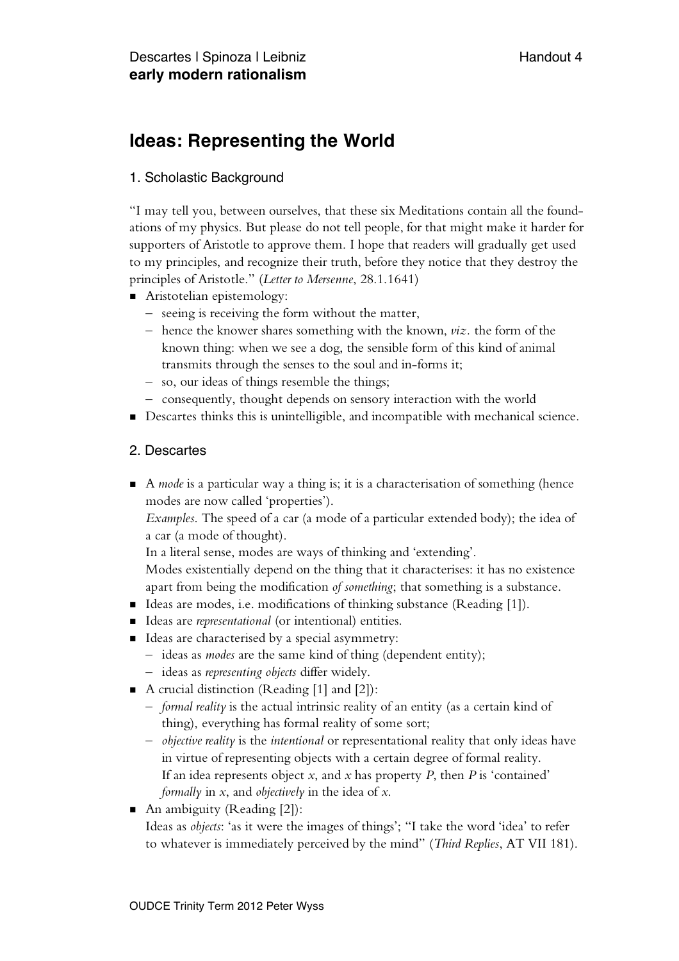# **Ideas: Representing the World**

## 1. Scholastic Background

"I may tell you, between ourselves, that these six Meditations contain all the foundations of my physics. But please do not tell people, for that might make it harder for supporters of Aristotle to approve them. I hope that readers will gradually get used to my principles, and recognize their truth, before they notice that they destroy the principles of Aristotle." (*Letter to Mersenne*, 28.1.1641)

- **Aristotelian epistemology:** 
	- seeing is receiving the form without the matter,
	- hence the knower shares something with the known, *viz.* the form of the known thing: when we see a dog, the sensible form of this kind of animal transmits through the senses to the soul and in-forms it;
	- so, our ideas of things resemble the things;
	- consequently, thought depends on sensory interaction with the world
- Descartes thinks this is unintelligible, and incompatible with mechanical science.

### 2. Descartes

 A *mode* is a particular way a thing is; it is a characterisation of something (hence modes are now called 'properties').

*Examples*. The speed of a car (a mode of a particular extended body); the idea of a car (a mode of thought).

In a literal sense, modes are ways of thinking and 'extending'.

Modes existentially depend on the thing that it characterises: it has no existence apart from being the modification *of something*; that something is a substance.

- Ideas are modes, i.e. modifications of thinking substance (Reading [1]).
- Ideas are *representational* (or intentional) entities.
- Ideas are characterised by a special asymmetry:
	- ideas as *modes* are the same kind of thing (dependent entity);
	- ideas as *representing objects* differ widely.
- A crucial distinction (Reading [1] and [2]):
	- *formal reality* is the actual intrinsic reality of an entity (as a certain kind of thing), everything has formal reality of some sort;
	- *objective reality* is the *intentional* or representational reality that only ideas have in virtue of representing objects with a certain degree of formal reality. If an idea represents object *x*, and *x* has property *P*, then *P* is 'contained' *formally* in *x*, and *objectively* in the idea of *x*.
- An ambiguity (Reading [2]):

Ideas as *objects*: 'as it were the images of things'; "I take the word 'idea' to refer to whatever is immediately perceived by the mind" (*Third Replies*, AT VII 181).